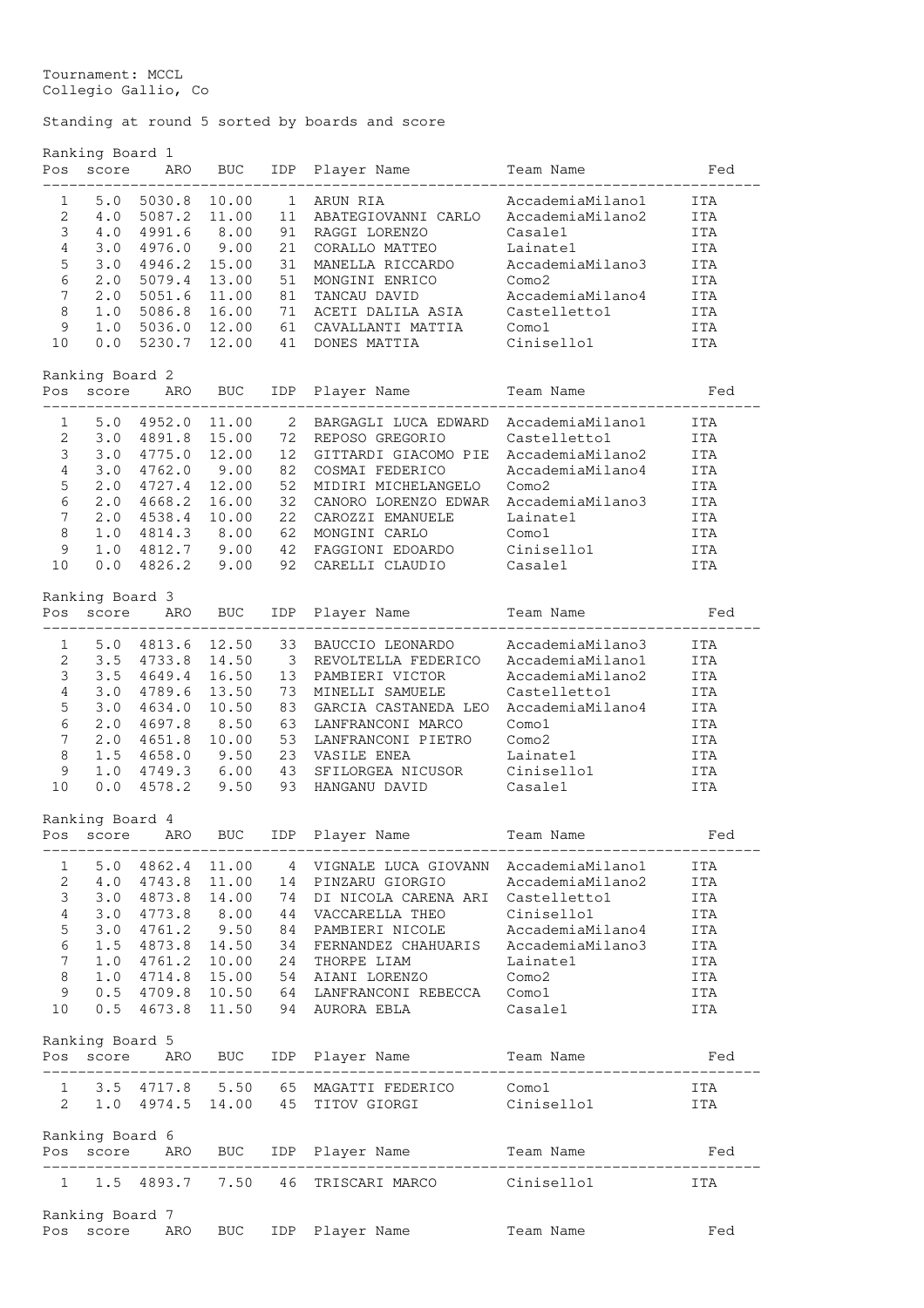Tournament: MCCL Collegio Gallio, Co

## Standing at round 5 sorted by boards and score

|                                                             | Ranking Board 1<br>Pos score | ARO            | BUC        | IDP          | Player Name                             | Team Name         | Fed               |
|-------------------------------------------------------------|------------------------------|----------------|------------|--------------|-----------------------------------------|-------------------|-------------------|
|                                                             |                              |                |            |              |                                         |                   |                   |
| 1                                                           | 5.0                          | 5030.8 10.00   |            | $\mathbf{1}$ | ARUN RIA                                | AccademiaMilano1  | ITA               |
| 2                                                           | 4.0                          | 5087.2 11.00   |            | 11           | ABATEGIOVANNI CARLO                     | AccademiaMilano2  | <b>ITA</b>        |
| 3                                                           | 4.0                          | 4991.6         | 8.00       | 91           | RAGGI LORENZO                           | Casale1           | <b>ITA</b>        |
| $\overline{4}$                                              | 3.0                          | 4976.0         | 9.00       | 21           | CORALLO MATTEO                          | Lainate1          | ITA               |
| 5                                                           | 3.0                          | 4946.2 15.00   |            | 31           | MANELLA RICCARDO                        | AccademiaMilano3  | ITA               |
| 6                                                           | 2.0                          | 5079.4 13.00   |            | 51           | MONGINI ENRICO                          | Como2             | ITA               |
| $\overline{7}$                                              | 2.0                          | 5051.6 11.00   |            | 81           | TANCAU DAVID                            | AccademiaMilano4  | ITA               |
| 8                                                           | 1.0                          | 5086.8 16.00   |            | 71           | ACETI DALILA ASIA                       | Castelletto1      | ITA               |
| 9                                                           | 1.0                          | 5036.0 12.00   |            | 61           | CAVALLANTI MATTIA                       | Como1             | ITA               |
| 10                                                          | 0.0                          | 5230.7 12.00   |            | 41           | DONES MATTIA                            | Cinisellol        | ITA               |
|                                                             | Ranking Board 2              |                |            |              |                                         |                   |                   |
| ----                                                        | Pos score                    | ARO            | <b>BUC</b> | IDP          | Player Name                             | Team Name         | Fed               |
| $\mathbf{1}$                                                | 5.0                          | 4952.0         | 11.00      | 2            | BARGAGLI LUCA EDWARD                    | AccademiaMilano1  | ITA               |
| 2                                                           | 3.0                          | 4891.8 15.00   |            | 72           | REPOSO GREGORIO                         | Castelletto1      | ITA               |
| 3                                                           | 3.0                          | 4775.0         | 12.00      | 12           | GITTARDI GIACOMO PIE                    | AccademiaMilano2  | ITA               |
| $\overline{4}$                                              | 3.0                          | 4762.0         | 9.00       | 82           | COSMAI FEDERICO                         | AccademiaMilano4  | ITA               |
| 5                                                           | 2.0                          | 4727.4 12.00   |            | 52           | MIDIRI MICHELANGELO                     | Como2             | ITA               |
| 6                                                           | 2.0                          | 4668.2 16.00   |            | 32           | CANORO LORENZO EDWAR                    | AccademiaMilano3  | ITA               |
| $\overline{7}$                                              | $2 \cdot 0$                  | 4538.4 10.00   |            | 22           | CAROZZI EMANUELE                        | Lainate1          | ITA               |
| 8                                                           | 1.0                          | 4814.3 8.00    |            | 62           | MONGINI CARLO                           | Como1             | ITA               |
| 9                                                           | 1.0                          | 4812.7 9.00 42 |            |              | FAGGIONI EDOARDO                        | Cinisello1        | ITA               |
| 10                                                          | 0.0                          | 4826.2         | 9.00       |              | 92 CARELLI CLAUDIO                      | Casale1           | ITA               |
|                                                             |                              |                |            |              |                                         |                   |                   |
| Ranking Board 3<br><b>BUC</b><br>IDP<br>Pos<br>score<br>ARO |                              |                |            |              | Player Name                             | Team Name         | Fed               |
| 1                                                           | 5.0                          | 4813.6 12.50   |            | 33           | BAUCCIO LEONARDO                        | AccademiaMilano3  | ITA               |
| 2                                                           | 3.5                          | 4733.8         | 14.50 3    |              | REVOLTELLA FEDERICO                     | AccademiaMilano1  | ITA               |
| 3                                                           | 3.5                          | 4649.4 16.50   |            | 13           | PAMBIERI VICTOR                         | AccademiaMilano2  | ITA               |
| 4                                                           | 3.0                          | 4789.6 13.50   |            | 73           | MINELLI SAMUELE                         | Castelletto1      | ITA               |
| 5                                                           | 3.0                          | 4634.0 10.50   |            | 83           | GARCIA CASTANEDA LEO                    | AccademiaMilano4  | ITA               |
| $\epsilon$                                                  | $2 \cdot 0$                  | 4697.8         | 8.50       | 63           | LANFRANCONI MARCO                       | Como1             | ITA               |
| $\overline{7}$                                              | 2.0                          | 4651.8 10.00   |            | 53           | LANFRANCONI PIETRO                      | Como <sub>2</sub> | ITA               |
| 8                                                           | 1.5                          | 4658.0 9.50 23 |            |              | VASILE ENEA                             | Lainate1          | ITA               |
| 9                                                           | 1.0                          | 4749.3 6.00 43 |            |              | SFILORGEA NICUSOR                       | Cinisellol        | ITA               |
| 10                                                          | 0.0                          | 4578.2         | 9.50       | 93           | HANGANU DAVID                           | Casale1           | ITA               |
|                                                             | Ranking Board 4              |                |            |              |                                         |                   |                   |
| POS                                                         | score                        | ARO            | <b>BUC</b> |              | IDP Player Name                         | Team Name         | Fed               |
| 1                                                           | 5.0                          | 4862.4         | 11.00      |              | 4 VIGNALE LUCA GIOVANN                  | AccademiaMilano1  | <b>ITA</b>        |
| 2                                                           | 4.0                          | 4743.8 11.00   |            | 14           | PINZARU GIORGIO                         | AccademiaMilano2  | <b>ITA</b>        |
| 3                                                           | 3.0                          | 4873.8 14.00   |            | 74           | DI NICOLA CARENA ARI Castelletto1       |                   | <b>ITA</b>        |
| 4                                                           | 3.0                          | 4773.8 8.00    |            | 44           | VACCARELLA THEO                         | Cinisello1        | ITA               |
| $\mathsf S$                                                 | 3.0                          | 4761.2 9.50    |            | 84           | PAMBIERI NICOLE                         | AccademiaMilano4  | ITA               |
| $\epsilon$                                                  | 1.5                          | 4873.8 14.50   |            |              | 34 FERNANDEZ CHAHUARIS AccademiaMilano3 |                   | ITA               |
| $\overline{7}$                                              | 1.0                          | 4761.2 10.00   |            | 24           | THORPE LIAM                             | Lainate1          | ITA               |
| 8                                                           | 1.0                          | 4714.8 15.00   |            | 54           | AIANI LORENZO                           | Como2             | ITA               |
| 9                                                           | 0.5                          | 4709.8 10.50   |            |              | 64 LANFRANCONI REBECCA                  | Como1             | ITA               |
| 10                                                          | 0.5                          | 4673.8 11.50   |            |              | 94 AURORA EBLA                          | Casale1           | ITA               |
|                                                             | Ranking Board 5              |                |            |              |                                         |                   |                   |
| Pos                                                         | score                        | ARO            | BUC        | IDP          | Player Name                             | Team Name         | Fed               |
| 1                                                           | 3.5                          | 4717.8         | 5.50       | 65           |                                         | Como1             |                   |
| $\overline{2}$                                              | 1.0                          | 4974.5 14.00   |            | 45           | MAGATTI FEDERICO<br>TITOV GIORGI        | Cinisello1        | ITA<br><b>ITA</b> |
|                                                             |                              |                |            |              |                                         |                   |                   |
| Pos                                                         | Ranking Board 6<br>score     | ARO            | BUC.       |              | IDP Player Name                         | Team Name         | Fed               |
|                                                             |                              |                |            |              |                                         |                   |                   |
| $\mathbf{1}$                                                | 1.5                          | 4893.7         | 7.50       | 46           | TRISCARI MARCO                          | Cinisello1        | ITA               |
|                                                             | Ranking Board 7              |                |            |              |                                         |                   |                   |
| Pos                                                         | score                        | ARO            | <b>BUC</b> | IDP          | Player Name                             | Team Name         | Fed               |